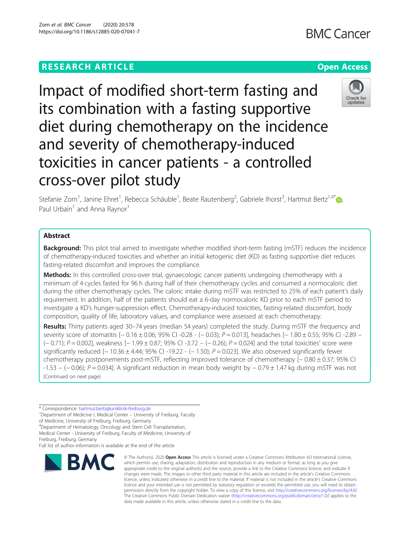# **RESEARCH ARTICLE Example 2014 12:30 The Contract of Contract ACCESS**

Impact of modified short-term fasting and its combination with a fasting supportive diet during chemotherapy on the incidence and severity of chemotherapy-induced toxicities in cancer patients - a controlled cross-over pilot study

Stefanie Zorn<sup>1</sup>[,](http://orcid.org/0000-0002-3805-8123) Janine Ehret<sup>1</sup>, Rebecca Schäuble<sup>1</sup>, Beate Rautenberg<sup>2</sup>, Gabriele Ihorst<sup>3</sup>, Hartmut Bertz<sup>1,4\*</sup> Paul Urbain<sup>1</sup> and Anna Raynor<sup>1</sup>

# Abstract

**Background:** This pilot trial aimed to investigate whether modified short-term fasting (mSTF) reduces the incidence of chemotherapy-induced toxicities and whether an initial ketogenic diet (KD) as fasting supportive diet reduces fasting-related discomfort and improves the compliance.

Methods: In this controlled cross-over trial, gynaecologic cancer patients undergoing chemotherapy with a minimum of 4 cycles fasted for 96 h during half of their chemotherapy cycles and consumed a normocaloric diet during the other chemotherapy cycles. The caloric intake during mSTF was restricted to 25% of each patient's daily requirement. In addition, half of the patients should eat a 6-day normocaloric KD prior to each mSTF period to investigate a KD's hunger-suppression effect. Chemotherapy-induced toxicities, fasting-related discomfort, body composition, quality of life, laboratory values, and compliance were assessed at each chemotherapy.

Results: Thirty patients aged 30-74 years (median 54 years) completed the study. During mSTF the frequency and severity score of stomatitis  $[-0.16 \pm 0.06; 95\%$  CI-0.28 - (−0.03); P = 0.013], headaches  $[-1.80 \pm 0.55; 95\%$  CI-2.89 – (− 0.71); P = 0.002], weakness [− 1.99 ± 0.87; 95% CI -3.72 – (− 0.26); P = 0.024] and the total toxicities' score were significantly reduced  $[-10.36 \pm 4.44; 95\% \text{ Cl } -19.22 - (-1.50); P = 0.023]$ . We also observed significantly fewer chemotherapy postponements post-mSTF, reflecting improved tolerance of chemotherapy [− 0.80 ± 0.37; 95% CI -1.53 – (− 0.06); P = 0.034]. A significant reduction in mean body weight by − 0.79 ± 1.47 kg during mSTF was not (Continued on next page)

\* Correspondence: [hartmut.bertz@uniklinik-freiburg.de](mailto:hartmut.bertz@uniklinik-freiburg.de) <sup>1</sup>

**BMC** 

Freiburg, Freiburg, Germany

data made available in this article, unless otherwise stated in a credit line to the data.

© The Author(s), 2020 **Open Access** This article is licensed under a Creative Commons Attribution 4.0 International License, which permits use, sharing, adaptation, distribution and reproduction in any medium or format, as long as you give



Check for updates

<sup>&</sup>lt;sup>1</sup> Department of Medicine I, Medical Center – University of Freiburg, Faculty

of Medicine, University of Freiburg, Freiburg, Germany

<sup>4</sup> Department of Hematology, Oncology and Stem Cell Transplantation, Medical Center - University of Freiburg, Faculty of Medicine, University of

Full list of author information is available at the end of the article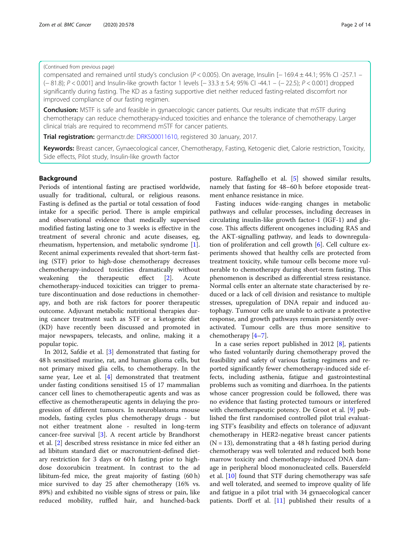# (Continued from previous page)

compensated and remained until study's conclusion (P < 0.005). On average, Insulin [− 169.4 ± 44.1; 95% CI -257.1 – (− 81.8); P < 0.001] and Insulin-like growth factor 1 levels [− 33.3 ± 5.4; 95% CI -44.1 – (− 22.5); P < 0.001] dropped significantly during fasting. The KD as a fasting supportive diet neither reduced fasting-related discomfort nor improved compliance of our fasting regimen.

**Conclusion:** MSTF is safe and feasible in gynaecologic cancer patients. Our results indicate that mSTF during chemotherapy can reduce chemotherapy-induced toxicities and enhance the tolerance of chemotherapy. Larger clinical trials are required to recommend mSTF for cancer patients.

**Trial registration:** germanctr.de: [DRKS00011610,](https://www.drks.de/drks_web/navigate.do?navigationId=trial.HTML&TRIAL_ID=DRKS00011610) registered 30 January, 2017.

Keywords: Breast cancer, Gynaecological cancer, Chemotherapy, Fasting, Ketogenic diet, Calorie restriction, Toxicity, Side effects, Pilot study, Insulin-like growth factor

# Background

Periods of intentional fasting are practised worldwide, usually for traditional, cultural, or religious reasons. Fasting is defined as the partial or total cessation of food intake for a specific period. There is ample empirical and observational evidence that medically supervised modified fasting lasting one to 3 weeks is effective in the treatment of several chronic and acute diseases, eg, rheumatism, hypertension, and metabolic syndrome [\[1](#page-12-0)]. Recent animal experiments revealed that short-term fasting (STF) prior to high-dose chemotherapy decreases chemotherapy-induced toxicities dramatically without weakening the therapeutic effect [[2\]](#page-12-0). Acute chemotherapy-induced toxicities can trigger to premature discontinuation and dose reductions in chemotherapy, and both are risk factors for poorer therapeutic outcome. Adjuvant metabolic nutritional therapies during cancer treatment such as STF or a ketogenic diet (KD) have recently been discussed and promoted in major newspapers, telecasts, and online, making it a popular topic.

In 2012, Safdie et al. [\[3](#page-12-0)] demonstrated that fasting for 48 h sensitised murine, rat, and human glioma cells, but not primary mixed glia cells, to chemotherapy. In the same year, Lee et al. [\[4](#page-12-0)] demonstrated that treatment under fasting conditions sensitised 15 of 17 mammalian cancer cell lines to chemotherapeutic agents and was as effective as chemotherapeutic agents in delaying the progression of different tumours. In neuroblastoma mouse models, fasting cycles plus chemotherapy drugs - but not either treatment alone - resulted in long-term cancer-free survival [[3](#page-12-0)]. A recent article by Brandhorst et al. [[2\]](#page-12-0) described stress resistance in mice fed either an ad libitum standard diet or macronutrient-defined dietary restriction for 3 days or 60 h fasting prior to highdose doxorubicin treatment. In contrast to the ad libitum-fed mice, the great majority of fasting (60 h) mice survived to day 25 after chemotherapy (16% vs. 89%) and exhibited no visible signs of stress or pain, like reduced mobility, ruffled hair, and hunched-back posture. Raffaghello et al. [[5\]](#page-12-0) showed similar results, namely that fasting for 48–60 h before etoposide treatment enhance resistance in mice.

Fasting induces wide-ranging changes in metabolic pathways and cellular processes, including decreases in circulating insulin-like growth factor-1 (IGF-1) and glucose. This affects different oncogenes including RAS and the AKT-signalling pathway, and leads to downregulation of proliferation and cell growth [[6\]](#page-12-0). Cell culture experiments showed that healthy cells are protected from treatment toxicity, while tumour cells become more vulnerable to chemotherapy during short-term fasting. This phenomenon is described as differential stress resistance. Normal cells enter an alternate state characterised by reduced or a lack of cell division and resistance to multiple stresses, upregulation of DNA repair and induced autophagy. Tumour cells are unable to activate a protective response, and growth pathways remain persistently overactivated. Tumour cells are thus more sensitive to chemotherapy [[4](#page-12-0)–[7\]](#page-12-0).

In a case series report published in 2012 [\[8](#page-12-0)], patients who fasted voluntarily during chemotherapy proved the feasibility and safety of various fasting regimens and reported significantly fewer chemotherapy-induced side effects, including asthenia, fatigue and gastrointestinal problems such as vomiting and diarrhoea. In the patients whose cancer progression could be followed, there was no evidence that fasting protected tumours or interfered with chemotherapeutic potency. De Groot et al. [\[9](#page-12-0)] published the first randomised controlled pilot trial evaluating STF's feasibility and effects on tolerance of adjuvant chemotherapy in HER2-negative breast cancer patients  $(N = 13)$ , demonstrating that a 48 h fasting period during chemotherapy was well tolerated and reduced both bone marrow toxicity and chemotherapy-induced DNA damage in peripheral blood mononucleated cells. Bauersfeld et al. [\[10\]](#page-12-0) found that STF during chemotherapy was safe and well tolerated, and seemed to improve quality of life and fatigue in a pilot trial with 34 gynaecological cancer patients. Dorff et al. [[11](#page-12-0)] published their results of a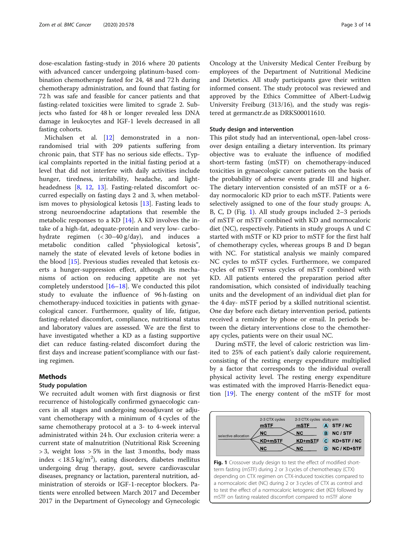dose-escalation fasting-study in 2016 where 20 patients with advanced cancer undergoing platinum-based combination chemotherapy fasted for 24, 48 and 72 h during chemotherapy administration, and found that fasting for 72 h was safe and feasible for cancer patients and that fasting-related toxicities were limited to ≤grade 2. Subjects who fasted for 48 h or longer revealed less DNA damage in leukocytes and IGF-1 levels decreased in all fasting cohorts.

Michalsen et al. [\[12](#page-12-0)] demonstrated in a nonrandomised trial with 209 patients suffering from chronic pain, that STF has no serious side effects.. Typical complaints reported in the initial fasting period at a level that did not interfere with daily activities include hunger, tiredness, irritability, headache, and lightheadedness [[8,](#page-12-0) [12,](#page-12-0) [13](#page-12-0)]. Fasting-related discomfort occurred especially on fasting days 2 and 3, when metabolism moves to physiological ketosis [[13\]](#page-12-0). Fasting leads to strong neuroendocrine adaptations that resemble the metabolic responses to a KD [[14](#page-12-0)]. A KD involves the intake of a high-fat, adequate-protein and very low- carbohydrate regimen (< 30–40 g/day), and induces a metabolic condition called "physiological ketosis", namely the state of elevated levels of ketone bodies in the blood [\[15](#page-12-0)]. Previous studies revealed that ketosis exerts a hunger-suppression effect, although its mechanisms of action on reducing appetite are not yet completely understood [[16](#page-12-0)–[18](#page-12-0)]. We conducted this pilot study to evaluate the influence of 96 h-fasting on chemotherapy-induced toxicities in patients with gynaecological cancer. Furthermore, quality of life, fatigue, fasting-related discomfort, compliance, nutritional status and laboratory values are assessed. We are the first to have investigated whether a KD as a fasting supportive diet can reduce fasting-related discomfort during the first days and increase patient'scompliance with our fasting regimen.

# Methods

#### Study population

We recruited adult women with first diagnosis or first recurrence of histologically confirmed gynaecologic cancers in all stages and undergoing neoadjuvant or adjuvant chemotherapy with a minimum of 4 cycles of the same chemotherapy protocol at a 3- to 4-week interval administrated within 24 h. Our exclusion criteria were: a current state of malnutrition (Nutritional Risk Screening  $> 3$ , weight loss  $> 5\%$  in the last 3 months, body mass index <  $18.5 \text{ kg/m}^2$ ), eating disorders, diabetes mellitus undergoing drug therapy, gout, severe cardiovascular diseases, pregnancy or lactation, parenteral nutrition, administration of steroids or IGF-1-receptor blockers. Patients were enrolled between March 2017 and December 2017 in the Department of Gynecology and Gynecologic

Oncology at the University Medical Center Freiburg by employees of the Department of Nutritional Medicine and Dietetics. All study participants gave their written informed consent. The study protocol was reviewed and approved by the Ethics Committee of Albert-Ludwig University Freiburg (313/16), and the study was registered at germanctr.de as DRKS00011610.

### Study design and intervention

This pilot study had an interventional, open-label crossover design entailing a dietary intervention. Its primary objective was to evaluate the influence of modified short-term fasting (mSTF) on chemotherapy-induced toxicities in gynaecologic cancer patients on the basis of the probability of adverse events grade III and higher. The dietary intervention consisted of an mSTF or a 6 day normocaloric KD prior to each mSTF. Patients were selectively assigned to one of the four study groups: A, B, C, D (Fig. 1). All study groups included 2–3 periods of mSTF or mSTF combined with KD and normocaloric diet (NC), respectively. Patients in study groups A und C started with mSTF or KD prior to mSTF for the first half of chemotherapy cycles, whereas groups B and D began with NC. For statistical analysis we mainly compared NC cycles to mSTF cycles. Furthermore, we compared cycles of mSTF versus cycles of mSTF combined with KD. All patients entered the preparation period after randomisation, which consisted of individually teaching units and the development of an individual diet plan for the 4 day- mSTF period by a skilled nutritional scientist. One day before each dietary intervention period, patients received a reminder by phone or email. In periods between the dietary interventions close to the chemotherapy cycles, patients were on their usual NC.

During mSTF, the level of caloric restriction was limited to 25% of each patient's daily calorie requirement, consisting of the resting energy expenditure multiplied by a factor that corresponds to the individual overall physical activity level. The resting energy expenditure was estimated with the improved Harris-Benedict equation [\[19](#page-12-0)]. The energy content of the mSTF for most

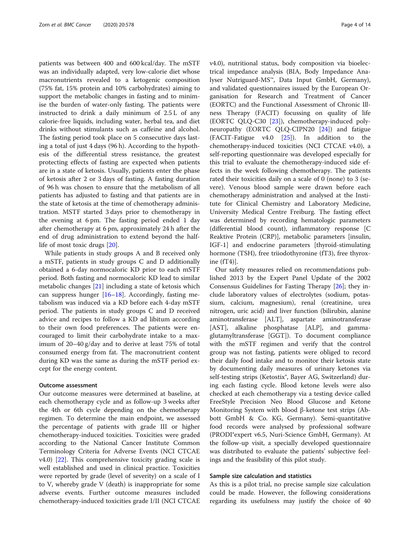patients was between 400 and 600 kcal/day. The mSTF was an individually adapted, very low-calorie diet whose macronutrients revealed to a ketogenic composition (75% fat, 15% protein and 10% carbohydrates) aiming to support the metabolic changes in fasting and to minimise the burden of water-only fasting. The patients were instructed to drink a daily minimum of 2.5 L of any calorie-free liquids, including water, herbal tea, and diet drinks without stimulants such as caffeine and alcohol. The fasting period took place on 5 consecutive days lasting a total of just 4 days (96 h). According to the hypothesis of the differential stress resistance, the greatest protecting effects of fasting are expected when patients are in a state of ketosis. Usually, patients enter the phase of ketosis after 2 or 3 days of fasting. A fasting duration of 96 h was chosen to ensure that the metabolism of all patients has adjusted to fasting and that patients are in the state of ketosis at the time of chemotherapy administration. MSTF started 3 days prior to chemotherapy in the evening at 6 pm. The fasting period ended 1 day after chemotherapy at 6 pm, approximately 24 h after the end of drug administration to extend beyond the halflife of most toxic drugs [[20\]](#page-12-0).

While patients in study groups A and B received only a mSTF, patients in study groups C and D additionally obtained a 6-day normocaloric KD prior to each mSTF period. Both fasting and normocaloric KD lead to similar metabolic changes [\[21\]](#page-12-0) including a state of ketosis which can suppress hunger [[16](#page-12-0)–[18](#page-12-0)]. Accordingly, fasting metabolism was induced via a KD before each 4-day mSTF period. The patients in study groups C and D received advice and recipes to follow a KD ad libitum according to their own food preferences. The patients were encouraged to limit their carbohydrate intake to a maximum of 20–40 g/day and to derive at least 75% of total consumed energy from fat. The macronutrient content during KD was the same as during the mSTF period except for the energy content.

### Outcome assessment

Our outcome measures were determined at baseline, at each chemotherapy cycle and as follow-up 3 weeks after the 4th or 6th cycle depending on the chemotherapy regimen. To determine the main endpoint, we assessed the percentage of patients with grade III or higher chemotherapy-induced toxicities. Toxicities were graded according to the National Cancer Institute Common Terminology Criteria for Adverse Events (NCI CTCAE  $v4.0$ ) [[22\]](#page-12-0). This comprehensive toxicity grading scale is well established and used in clinical practice. Toxicities were reported by grade (level of severity) on a scale of I to V, whereby grade V (death) is inappropriate for some adverse events. Further outcome measures included chemotherapy-induced toxicities grade I/II (NCI CTCAE v4.0), nutritional status, body composition via bioelectrical impedance analysis (BIA, Body Impedance Analyser Nutriguard-MS™, Data Input GmbH, Germany), and validated questionnaires issued by the European Organisation for Research and Treatment of Cancer (EORTC) and the Functional Assessment of Chronic Illness Therapy (FACIT) focussing on quality of life (EORTC QLQ-C30 [[23\]](#page-12-0)), chemotherapy-induced polyneuropathy (EORTC QLQ-CIPN20 [[24\]](#page-12-0)) and fatigue (FACIT-Fatigue v4.0 [[25\]](#page-12-0)). In addition to the chemotherapy-induced toxicities (NCI CTCAE v4.0), a self-reporting questionnaire was developed especially for this trial to evaluate the chemotherapy-induced side effects in the week following chemotherapy. The patients rated their toxicities daily on a scale of 0 (none) to 3 (severe). Venous blood sample were drawn before each chemotherapy administration and analysed at the Institute for Clinical Chemistry and Laboratory Medicine, University Medical Centre Freiburg. The fasting effect was determined by recording hematologic parameters (differential blood count), inflammatory response [C Reaktive Protein (CRP)], metabolic parameters [insulin, IGF-1] and endocrine parameters [thyroid-stimulating hormone (TSH), free triiodothyronine (fT3), free thyroxine (fT4)].

Our safety measures relied on recommendations published 2013 by the Expert Panel Update of the 2002 Consensus Guidelines for Fasting Therapy [[26](#page-12-0)]; they include laboratory values of electrolytes (sodium, potassium, calcium, magnesium), renal (creatinine, urea nitrogen, uric acid) and liver function (bilirubin, alanine aminotransferase [ALT], aspartate aminotransferase [AST], alkaline phosphatase [ALP], and gammaglutamyltransferase [GGT]). To document compliance with the mSTF regimen and verify that the control group was not fasting, patients were obliged to record their daily food intake and to monitor their ketosis state by documenting daily measures of urinary ketones via self-testing strips (Ketostix®, Bayer AG, Switzerland) during each fasting cycle. Blood ketone levels were also checked at each chemotherapy via a testing device called FreeStyle Precision Neo Blood Glucose and Ketone Monitoring System with blood β-ketone test strips (Abbott GmbH & Co. KG, Germany). Semi-quantitative food records were analysed by professional software (PRODI®expert v6.5, Nuri-Science GmbH, Germany). At the follow-up visit, a specially developed questionnaire was distributed to evaluate the patients' subjective feelings and the feasibility of this pilot study.

### Sample size calculation and statistics

As this is a pilot trial, no precise sample size calculation could be made. However, the following considerations regarding its usefulness may justify the choice of 40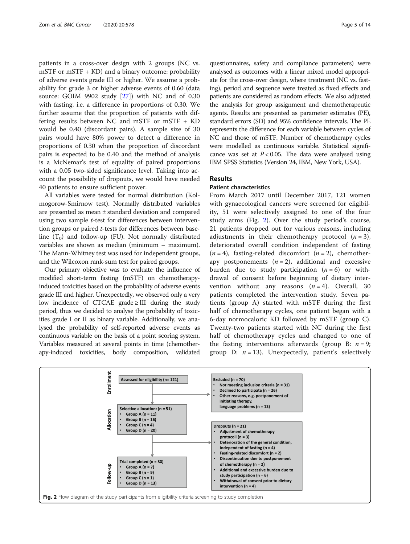patients in a cross-over design with 2 groups (NC vs. mSTF or mSTF + KD) and a binary outcome: probability of adverse events grade III or higher. We assume a probability for grade 3 or higher adverse events of 0.60 (data source: GOIM 9902 study [[27](#page-12-0)]) with NC and of 0.30 with fasting, i.e. a difference in proportions of 0.30. We further assume that the proportion of patients with differing results between NC and mSTF or mSTF + KD would be 0.40 (discordant pairs). A sample size of 30 pairs would have 80% power to detect a difference in proportions of 0.30 when the proportion of discordant pairs is expected to be 0.40 and the method of analysis is a McNemar's test of equality of paired proportions with a 0.05 two-sided significance level. Taking into account the possibility of dropouts, we would have needed 40 patients to ensure sufficient power.

All variables were tested for normal distribution (Kolmogorow-Smirnow test). Normally distributed variables are presented as mean ± standard deviation and compared using two sample t-test for differences between intervention groups or paired t-tests for differences between baseline  $(T_0)$  and follow-up (FU). Not normally distributed variables are shown as median (minimum – maximum). The Mann-Whitney test was used for independent groups, and the Wilcoxon rank-sum test for paired groups.

Our primary objective was to evaluate the influence of modified short-term fasting (mSTF) on chemotherapyinduced toxicities based on the probability of adverse events grade III and higher. Unexpectedly, we observed only a very low incidence of CTCAE grade  $\geq$  III during the study period, thus we decided to analyse the probability of toxicities grade I or II as binary variable. Additionally, we analysed the probability of self-reported adverse events as continuous variable on the basis of a point scoring system. Variables measured at several points in time (chemotherapy-induced toxicities, body composition, validated

questionnaires, safety and compliance parameters) were analysed as outcomes with a linear mixed model appropriate for the cross-over design, where treatment (NC vs. fasting), period and sequence were treated as fixed effects and patients are considered as random effects. We also adjusted the analysis for group assignment and chemotherapeutic agents. Results are presented as parameter estimates (PE), standard errors (SD) and 95% confidence intervals. The PE represents the difference for each variable between cycles of NC and those of mSTF. Number of chemotherapy cycles were modelled as continuous variable. Statistical significance was set at  $P < 0.05$ . The data were analysed using IBM SPSS Statistics (Version 24, IBM, New York, USA).

# Results

# Patient characteristics

From March 2017 until December 2017, 121 women with gynaecological cancers were screened for eligibility, 51 were selectively assigned to one of the four study arms (Fig. 2). Over the study period's course, 21 patients dropped out for various reasons, including adjustments in their chemotherapy protocol  $(n=3)$ , deteriorated overall condition independent of fasting  $(n = 4)$ , fasting-related discomfort  $(n = 2)$ , chemotherapy postponements  $(n = 2)$ , additional and excessive burden due to study participation  $(n = 6)$  or withdrawal of consent before beginning of dietary intervention without any reasons  $(n = 4)$ . Overall, 30 patients completed the intervention study. Seven patients (group A) started with mSTF during the first half of chemotherapy cycles, one patient began with a 6-day normocaloric KD followed by mSTF (group C). Twenty-two patients started with NC during the first half of chemotherapy cycles and changed to one of the fasting interventions afterwards (group B:  $n = 9$ ; group D:  $n = 13$ ). Unexpectedly, patient's selectively

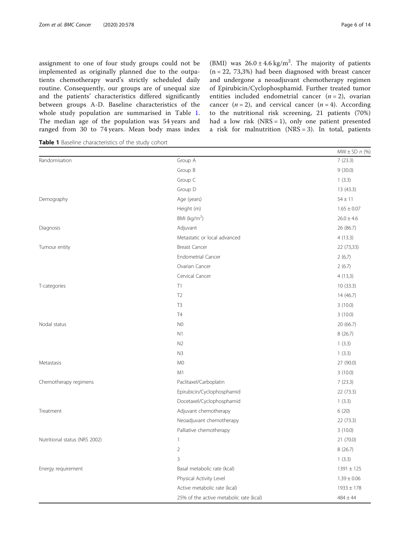assignment to one of four study groups could not be implemented as originally planned due to the outpatients chemotherapy ward's strictly scheduled daily routine. Consequently, our groups are of unequal size and the patients' characteristics differed significantly between groups A-D. Baseline characteristics of the whole study population are summarised in Table 1. The median age of the population was 54 years and ranged from 30 to 74 years. Mean body mass index

Table 1 Baseline characteristics of the study cohort

 $MW \pm SD$  n (%) Randomisation 7 (23.3) Group B 9 (30.0) Group C 1 (3.3) Group D 13 (43.3) Demography 64 ± 11 Height (m)  $1.65 \pm 0.07$ BMI  $(kq/m<sup>2</sup>)$  $(26.0 \pm 4.6)$ Diagnosis Adjuvant 26 (86.7) Metastatic or local advanced 4 (13.3) Tumour entity and the state of the Breast Cancer Cancer Cancer Cancer Cancer Cancer Cancer Cancer Cancer Cancer Cancer Cancer Cancer Cancer Cancer Cancer Cancer Cancer Cancer Cancer Cancer Cancer Cancer Cancer Cancer Cance Endometrial Cancer 2 (6,7) Ovarian Cancer 2 (6.7) Cervical Cancer 4 (13,3) T-categories 10 (33.3) 10 (33.3)  $T2$  14 (46.7)  $T3$  3 (10.0)  $T4$  3 (10.0)  $N$ Odal status  $20(66.7)$  $N1$  8 (26.7)  $N2$  1 (3.3) N3 1 (3.3) Metastasis M0 27 (90.0)  $M1$  3 (10.0) Chemotherapy regimens Paclitaxel/Carboplatin 7 (23.3) Epirubicin/Cyclophosphamid 22 (73.3) Docetaxel/Cyclophosphamid 1 (3.3) Treatment 6 (20) Treatment 6 (20) Neoadjuvant chemotherapy 22 (73.3) Palliative chemotherapy 3 (10.0) Nutritional status (NRS 2002) 1 21 (70.0) 2 8 (26.7)  $3 \t\t (3.3)$ Energy requirement 1391 ± 125 Physical Activity Level  $1.39 \pm 0.06$ Active metabolic rate (kcal)  $1933 \pm 178$ 25% of the active metabolic rate (kcal)  $484 \pm 44$ 

(BMI) was  $26.0 \pm 4.6$  kg/m<sup>2</sup>. The majority of patients  $(n = 22, 73,3%)$  had been diagnosed with breast cancer and undergone a neoadjuvant chemotherapy regimen of Epirubicin/Cyclophosphamid. Further treated tumor entities included endometrial cancer  $(n = 2)$ , ovarian cancer  $(n = 2)$ , and cervical cancer  $(n = 4)$ . According to the nutritional risk screening, 21 patients (70%) had a low risk  $(NRS = 1)$ , only one patient presented a risk for malnutrition  $(NRS = 3)$ . In total, patients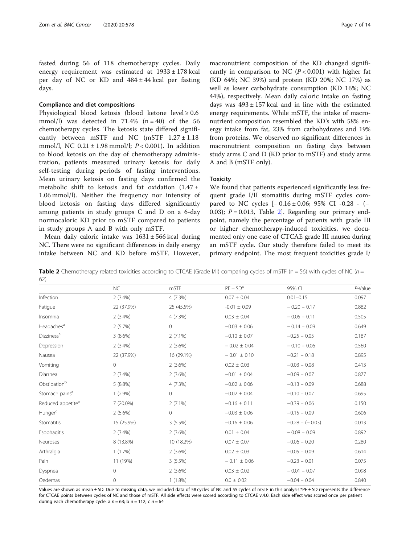fasted during 56 of 118 chemotherapy cycles. Daily energy requirement was estimated at 1933 ± 178 kcal per day of NC or KD and  $484 \pm 44$  kcal per fasting days.

### Compliance and diet compositions

Physiological blood ketosis (blood ketone level ≥ 0.6 mmol/l) was detected in  $71.4\%$  (n = 40) of the 56 chemotherapy cycles. The ketosis state differed significantly between mSTF and NC (mSTF  $1.27 \pm 1.18$ ) mmol/l, NC  $0.21 \pm 1.98$  mmol/l;  $P < 0.001$ ). In addition to blood ketosis on the day of chemotherapy administration, patients measured urinary ketosis for daily self-testing during periods of fasting interventions. Mean urinary ketosis on fasting days confirmed the metabolic shift to ketosis and fat oxidation (1.47 ± 1.06 mmol/l). Neither the frequency nor intensity of blood ketosis on fasting days differed significantly among patients in study groups C and D on a 6-day normocaloric KD prior to mSTF compared to patients in study groups A and B with only mSTF.

Mean daily caloric intake was  $1631 \pm 566$  kcal during NC. There were no significant differences in daily energy intake between NC and KD before mSTF. However, macronutrient composition of the KD changed significantly in comparison to NC  $(P < 0.001)$  with higher fat (KD 64%; NC 39%) and protein (KD 20%; NC 17%) as well as lower carbohydrate consumption (KD 16%; NC 44%), respectively. Mean daily caloric intake on fasting days was  $493 \pm 157$  kcal and in line with the estimated energy requirements. While mSTF, the intake of macronutrient composition resembled the KD's with 58% energy intake from fat, 23% from carbohydrates and 19% from proteins. We observed no significant differences in macronutrient composition on fasting days between study arms C and D (KD prior to mSTF) and study arms A and B (mSTF only).

# **Toxicity**

We found that patients experienced significantly less frequent grade I/II stomatitis during mSTF cycles compared to NC cycles [− 0.16 ± 0.06; 95% CI -0.28 - (− 0.03);  $P = 0.013$ , Table 2. Regarding our primary endpoint, namely the percentage of patients with grade III or higher chemotherapy-induced toxicities, we documented only one case of CTCAE grade III nausea during an mSTF cycle. Our study therefore failed to meet its primary endpoint. The most frequent toxicities grade I/

**Table 2** Chemotherapy related toxicities according to CTCAE (Grade I/II) comparing cycles of mSTF (n = 56) with cycles of NC (n = 62)

|                               | NC           | mSTF       | $PE \pm SD^*$    | 95% CI            | P-Value |
|-------------------------------|--------------|------------|------------------|-------------------|---------|
| Infection                     | $2(3.4\%)$   | 4(7.3%)    | $0.07 \pm 0.04$  | $0.01 - 0.15$     | 0.097   |
| Fatigue                       | 22 (37.9%)   | 25 (45.5%) | $-0.01 \pm 0.09$ | $-0.20 - 0.17$    | 0.882   |
| Insomnia                      | $2(3.4\%)$   | 4 (7.3%)   | $0.03 \pm 0.04$  | $-0.05 - 0.11$    | 0.505   |
| Headaches <sup>a</sup>        | 2(5.7%)      | 0          | $-0.03 \pm 0.06$ | $-0.14 - 0.09$    | 0.649   |
| Dizziness <sup>a</sup>        | $3(8.6\%)$   | $2(7.1\%)$ | $-0.10 \pm 0.07$ | $-0.25 - 0.05$    | 0.187   |
| Depression                    | $2(3.4\%)$   | $2(3.6\%)$ | $-0.02 \pm 0.04$ | $-0.10 - 0.06$    | 0.560   |
| Nausea                        | 22 (37.9%)   | 16 (29.1%) | $-0.01 \pm 0.10$ | $-0.21 - 0.18$    | 0.895   |
| Vomiting                      | $\circ$      | $2(3.6\%)$ | $0.02 \pm 0.03$  | $-0.03 - 0.08$    | 0.413   |
| Diarrhea                      | $2(3.4\%)$   | $2(3.6\%)$ | $-0.01 \pm 0.04$ | $-0.09 - 0.07$    | 0.877   |
| Obstipation <sup>b</sup>      | 5(8.8%)      | 4 (7.3%)   | $-0.02 \pm 0.06$ | $-0.13 - 0.09$    | 0.688   |
| Stomach pains <sup>a</sup>    | $1(2.9\%)$   | 0          | $-0.02 \pm 0.04$ | $-0.10 - 0.07$    | 0.695   |
| Reduced appetite <sup>a</sup> | 7 (20.0%)    | $2(7.1\%)$ | $-0.16 \pm 0.11$ | $-0.39 - 0.06$    | 0.150   |
| Hunger <sup>c</sup>           | $2(5.6\%)$   | 0          | $-0.03 \pm 0.06$ | $-0.15 - 0.09$    | 0.606   |
| Stomatitis                    | 15 (25.9%)   | $3(5.5\%)$ | $-0.16 \pm 0.06$ | $-0.28 - (-0.03)$ | 0.013   |
| Esophagitis                   | $2(3.4\%)$   | $2(3.6\%)$ | $0.01 \pm 0.04$  | $-0.08 - 0.09$    | 0.892   |
| Neuroses                      | 8 (13.8%)    | 10 (18.2%) | $0.07 \pm 0.07$  | $-0.06 - 0.20$    | 0.280   |
| Arthralgia                    | 1(1.7%)      | $2(3.6\%)$ | $0.02 \pm 0.03$  | $-0.05 - 0.09$    | 0.614   |
| Pain                          | 11 (19%)     | $3(5.5\%)$ | $-0.11 \pm 0.06$ | $-0.23 - 0.01$    | 0.075   |
| Dyspnea                       | $\circ$      | 2(3.6%)    | $0.03 \pm 0.02$  | $-0.01 - 0.07$    | 0.098   |
| Oedemas                       | $\mathbf{0}$ | $1(1.8\%)$ | $0.0 \pm 0.02$   | $-0.04 - 0.04$    | 0.840   |

Values are shown as mean ± SD. Due to missing data, we included data of 58 cycles of NC and 55 cycles of mSTF in this analysis.\*PE ± SD represents the difference for CTCAE points between cycles of NC and those of mSTF. All side effects were scored according to CTCAE v.4.0. Each side effect was scored once per patient during each chemotherapy cycle. a  $n = 63$ ; b n = 112; c n = 64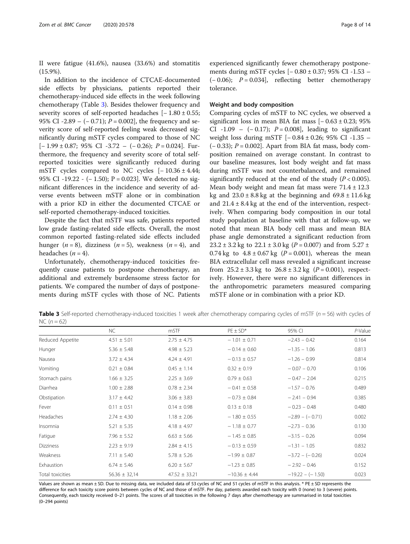II were fatigue (41.6%), nausea (33.6%) and stomatitis (15.9%).

In addition to the incidence of CTCAE-documented side effects by physicians, patients reported their chemotherapy-induced side effects in the week following chemotherapy (Table 3). Besides thelower frequency and severity scores of self-reported headaches [-1.80 ± 0.55; 95% CI -2.89 – (– 0.71);  $P = 0.002$ , the frequency and severity score of self-reported feeling weak decreased significantly during mSTF cycles compared to those of NC  $[-1.99 \pm 0.87; 95\% \text{ CI} -3.72 - (-0.26); P = 0.024].$  Furthermore, the frequency and severity score of total selfreported toxicities were significantly reduced during mSTF cycles compared to NC cycles  $[-10.36 \pm 4.44;$ 95% CI -19.22 - (− 1.50); P = 0.023]. We detected no significant differences in the incidence and severity of adverse events between mSTF alone or in combination with a prior KD in either the documented CTCAE or self-reported chemotherapy-induced toxicities.

Despite the fact that mSTF was safe, patients reported low grade fasting-related side effects. Overall, the most common reported fasting-related side effects included hunger ( $n = 8$ ), dizziness ( $n = 5$ ), weakness ( $n = 4$ ), and headaches  $(n = 4)$ .

Unfortunately, chemotherapy-induced toxicities frequently cause patients to postpone chemotherapy, an additional and extremely burdensome stress factor for patients. We compared the number of days of postponements during mSTF cycles with those of NC. Patients

experienced significantly fewer chemotherapy postponements during mSTF cycles [− 0.80 ± 0.37; 95% CI -1.53 –  $(-0.06)$ ;  $P = 0.034$ , reflecting better chemotherapy tolerance.

# Weight and body composition

Comparing cycles of mSTF to NC cycles, we observed a significant loss in mean BIA fat mass  $[-0.63 \pm 0.23; 95\%]$ CI -1.09 –  $(-0.17)$ ;  $P = 0.008$ , leading to significant weight loss during mSTF [− 0.84 ± 0.26; 95% CI -1.35 –  $(-0.33)$ ;  $P = 0.002$ ]. Apart from BIA fat mass, body composition remained on average constant. In contrast to our baseline measures, lost body weight and fat mass during mSTF was not counterbalanced, and remained significantly reduced at the end of the study  $(P < 0.005)$ . Mean body weight and mean fat mass were  $71.4 \pm 12.3$ kg and  $23.0 \pm 8.8$  kg at the beginning and  $69.8 \pm 11.6$  kg and  $21.4 \pm 8.4$  kg at the end of the intervention, respectively. When comparing body composition in our total study population at baseline with that at follow-up, we noted that mean BIA body cell mass and mean BIA phase angle demonstrated a significant reduction from  $23.2 \pm 3.2$  kg to  $22.1 \pm 3.0$  kg (P = 0.007) and from  $5.27 \pm 1.2$ 0.74 kg to  $4.8 \pm 0.67$  kg ( $P = 0.001$ ), whereas the mean BIA extracellular cell mass revealed a significant increase from  $25.2 \pm 3.3$  kg to  $26.8 \pm 3.2$  kg ( $P = 0.001$ ), respectively. However, there were no significant differences in the anthropometric parameters measured comparing mSTF alone or in combination with a prior KD.

Table 3 Self-reported chemotherapy-induced toxicities 1 week after chemotherapy comparing cycles of mSTF ( $n = 56$ ) with cycles of  $NC (n = 62)$ 

|                  | NC.               | mSTF              | $PE \pm SD^*$     | 95% CI             | P-Value |
|------------------|-------------------|-------------------|-------------------|--------------------|---------|
| Reduced Appetite | $4.51 \pm 5.01$   | $2.75 \pm 4.75$   | $-1.01 \pm 0.71$  | $-2.43 - 0.42$     | 0.164   |
| Hunger           | $5.36 \pm 5.48$   | $4.98 \pm 5.23$   | $-0.14 \pm 0.60$  | $-1.35 - 1.06$     | 0.813   |
| Nausea           | $3.72 \pm 4.34$   | $4.24 \pm 4.91$   | $-0.13 \pm 0.57$  | $-1.26 - 0.99$     | 0.814   |
| Vomiting         | $0.21 \pm 0.84$   | $0.45 \pm 1.14$   | $0.32 \pm 0.19$   | $-0.07 - 0.70$     | 0.106   |
| Stomach pains    | $1.66 \pm 3.25$   | $2.25 \pm 3.69$   | $0.79 \pm 0.63$   | $-0.47 - 2.04$     | 0.215   |
| Diarrhea         | $1.00 \pm 2.88$   | $0.78 \pm 2.34$   | $-0.41 \pm 0.58$  | $-1.57 - 0.76$     | 0.489   |
| Obstipation      | $3.17 \pm 4.42$   | $3.06 \pm 3.83$   | $-0.73 \pm 0.84$  | $-2.41 - 0.94$     | 0.385   |
| Fever            | $0.11 \pm 0.51$   | $0.14 \pm 0.98$   | $0.13 \pm 0.18$   | $-0.23 - 0.48$     | 0.480   |
| Headaches        | $2.74 \pm 4.30$   | $1.18 \pm 2.06$   | $-1.80 \pm 0.55$  | $-2.89 - (-0.71)$  | 0.002   |
| Insomnia         | $5.21 \pm 5.35$   | $4.18 \pm 4.97$   | $-1.18 \pm 0.77$  | $-2.73 - 0.36$     | 0.130   |
| Fatigue          | $7.96 \pm 5.52$   | $6.63 \pm 5.66$   | $-1.45 \pm 0.85$  | $-3.15 - 0.26$     | 0.094   |
| <b>Dizziness</b> | $2.23 \pm 9.19$   | $2.84 \pm 4.15$   | $-0.13 \pm 0.59$  | $-1.31 - 1.05$     | 0.832   |
| Weakness         | $7.11 \pm 5.40$   | $5.78 \pm 5.26$   | $-1.99 \pm 0.87$  | $-3.72 - (-0.26)$  | 0.024   |
| Exhaustion       | $6.74 \pm 5.46$   | $6.20 \pm 5.67$   | $-1.23 \pm 0.85$  | $-2.92 - 0.46$     | 0.152   |
| Total toxicities | $56.36 \pm 32.14$ | $47.52 \pm 33.21$ | $-10.36 \pm 4.44$ | $-19.22 - (-1.50)$ | 0.023   |

Values are shown as mean ± SD. Due to missing data, we included data of 53 cycles of NC and 51 cycles of mSTF in this analysis. \* PE ± SD represents the difference for each toxicity score points between cycles of NC and those of mSTF. Per day, patients awarded each toxicity with 0 (none) to 3 (severe) points. Consequently, each toxicity received 0–21 points. The scores of all toxicities in the following 7 days after chemotherapy are summarised in total toxicities (0–294 points)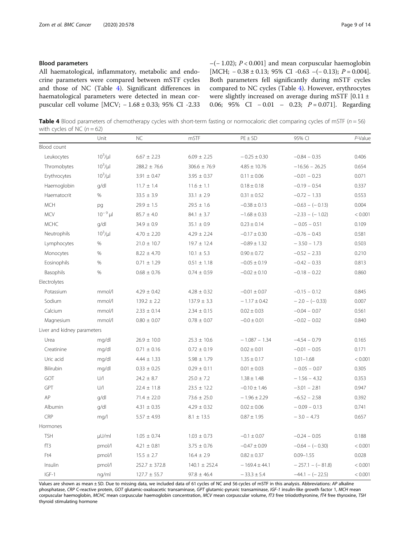All haematological, inflammatory, metabolic and endocrine parameters were compared between mSTF cycles and those of NC (Table 4). Significant differences in haematological parameters were detected in mean corpuscular cell volume [MCV; − 1.68 ± 0.33; 95% CI -2.33  $-(-1.02)$ ;  $P < 0.001$ ] and mean corpuscular haemoglobin [MCH;  $-0.38 \pm 0.13$ ; 95% CI  $-0.63$   $-(-0.13)$ ;  $P = 0.004$ ]. Both parameters fell significantly during mSTF cycles compared to NC cycles (Table 4). However, erythrocytes were slightly increased on average during mSTF [0.11 ± 0.06; 95% CI − 0.01 – 0.23; P = 0.071]. Regarding

Table 4 Blood parameters of chemotherapy cycles with short-term fasting or normocaloric diet comparing cycles of mSTF ( $n = 56$ ) with cycles of NC  $(n = 62)$ 

|                             | Unit         | <b>NC</b>         | mSTF              | $PE \pm SD$       | 95% CI             | P-Value |
|-----------------------------|--------------|-------------------|-------------------|-------------------|--------------------|---------|
| Blood count                 |              |                   |                   |                   |                    |         |
| Leukocytes                  | $10^3/\mu$   | $6.67 \pm 2.23$   | $6.09 \pm 2.25$   | $-0.25 \pm 0.30$  | $-0.84 - 0.35$     | 0.406   |
| Thromobytes                 | $10^3/\mu$   | $288.2 \pm 76.6$  | $306.6 \pm 76.9$  | $4.85 \pm 10.76$  | $-16.56 - 26.25$   | 0.654   |
| Erythrocytes                | $10^3/\mu$   | $3.91 \pm 0.47$   | $3.95 \pm 0.37$   | $0.11 \pm 0.06$   | $-0.01 - 0.23$     | 0.071   |
| Haemoglobin                 | q/dI         | $11.7 \pm 1.4$    | $11.6 \pm 1.1$    | $0.18 \pm 0.18$   | $-0.19 - 0.54$     | 0.337   |
| Haematocrit                 | %            | $33.5 \pm 3.9$    | $33.1 \pm 2.9$    | $0.31 \pm 0.52$   | $-0.72 - 1.33$     | 0.553   |
| <b>MCH</b>                  | pg           | $29.9 \pm 1.5$    | $29.5 \pm 1.6$    | $-0.38 \pm 0.13$  | $-0.63 - (-0.13)$  | 0.004   |
| <b>MCV</b>                  | $10^{-9}$ µl | $85.7 \pm 4.0$    | $84.1 \pm 3.7$    | $-1.68 \pm 0.33$  | $-2.33 - (-1.02)$  | < 0.001 |
| <b>MCHC</b>                 | g/dl         | $34.9 \pm 0.9$    | $35.1 \pm 0.9$    | $0.23 \pm 0.14$   | $-0.05 - 0.51$     | 0.109   |
| Neutrophils                 | $10^3/\mu$   | $4.70 \pm 2.20$   | $4.29 \pm 2.24$   | $-0.17 \pm 0.30$  | $-0.76 - 0.43$     | 0.581   |
| Lymphocytes                 | $\%$         | $21.0 \pm 10.7$   | $19.7 \pm 12.4$   | $-0.89 \pm 1.32$  | $-3.50 - 1.73$     | 0.503   |
| Monocytes                   | $\%$         | $8.22 \pm 4.70$   | $10.1 \pm 5.3$    | $0.90 \pm 0.72$   | $-0.52 - 2.33$     | 0.210   |
| Eosinophils                 | $\%$         | $0.71 \pm 1.29$   | $0.51 \pm 1.18$   | $-0.05 \pm 0.19$  | $-0.42 - 0.33$     | 0.813   |
| Basophils                   | $\%$         | $0.68 \pm 0.76$   | $0.74 \pm 0.59$   | $-0.02 \pm 0.10$  | $-0.18 - 0.22$     | 0.860   |
| Electrolytes                |              |                   |                   |                   |                    |         |
| Potassium                   | mmol/l       | $4.29 \pm 0.42$   | $4.28 \pm 0.32$   | $-0.01 \pm 0.07$  | $-0.15 - 0.12$     | 0.845   |
| Sodium                      | mmol/l       | $139.2 \pm 2.2$   | $137.9 \pm 3.3$   | $-1.17 \pm 0.42$  | $-2.0 - (-0.33)$   | 0.007   |
| Calcium                     | mmol/l       | $2.33 \pm 0.14$   | $2.34 \pm 0.15$   | $0.02 \pm 0.03$   | $-0.04 - 0.07$     | 0.561   |
| Magnesium                   | mmol/l       | $0.80 \pm 0.07$   | $0.78 \pm 0.07$   | $-0.0 \pm 0.01$   | $-0.02 - 0.02$     | 0.840   |
| Liver and kidney parameters |              |                   |                   |                   |                    |         |
| Urea                        | mg/dl        | $26.9 \pm 10.0$   | $25.3 \pm 10.6$   | $-1.087 - 1.34$   | $-4.54 - 0.79$     | 0.165   |
| Creatinine                  | mg/dl        | $0.71 \pm 0.16$   | $0.72 \pm 0.19$   | $0.02 \pm 0.01$   | $-0.01 - 0.05$     | 0.171   |
| Uric acid                   | mg/dl        | $4.44 \pm 1.33$   | $5.98 \pm 1.79$   | $1.35 \pm 0.17$   | $1.01 - 1.68$      | < 0.001 |
| Bilirubin                   | mg/dl        | $0.33 \pm 0.25$   | $0.29 \pm 0.11$   | $0.01 \pm 0.03$   | $-0.05 - 0.07$     | 0.305   |
| GOT                         | U/           | $24.2 \pm 8.7$    | $25.0 \pm 7.2$    | $1.38 \pm 1.48$   | $-1.56 - 4.32$     | 0.353   |
| GPT                         | U/I          | $22.4 \pm 11.8$   | $23.5 \pm 12.2$   | $-0.10 \pm 1.46$  | $-3.01 - 2.81$     | 0.947   |
| AP                          | g/dl         | $71.4 \pm 22.0$   | $73.6 \pm 25.0$   | $-1.96 \pm 2.29$  | $-6.52 - 2.58$     | 0.392   |
| Albumin                     | g/dl         | $4.31 \pm 0.35$   | $4.29 \pm 0.32$   | $0.02\pm0.06$     | $-0.09 - 0.13$     | 0.741   |
| CRP                         | mq/l         | $5.57 \pm 4.93$   | $8.1 \pm 13.5$    | $0.87 \pm 1.95$   | $-3.0 - 4.73$      | 0.657   |
| Hormones                    |              |                   |                   |                   |                    |         |
| <b>TSH</b>                  | $\mu$ U/ml   | $1.05 \pm 0.74$   | $1.03 \pm 0.73$   | $-0.1 \pm 0.07$   | $-0.24 - 0.05$     | 0.188   |
| fT3                         | pmol/l       | $4.21 \pm 0.81$   | $3.75\,\pm\,0.76$ | $-0.47 \pm 0.09$  | $-0.64 - (-0.30)$  | < 0.001 |
| Ft4                         | pmol/l       | $15.5$ $\pm$ 2.7  | $16.4 \pm 2.9$    | $0.82 \pm 0.37$   | $0.09 - 1.55$      | 0.028   |
| Insulin                     | pmol/l       | $252.7 \pm 372.8$ | $140.1 \pm 252.4$ | $-169.4 \pm 44.1$ | $-257.1 - (-81.8)$ | < 0.001 |
| $IGF-1$                     | ng/ml        | $127.7 \pm 55.7$  | $97.8 \pm 46.4$   | $-33.3 \pm 5.4$   | $-44.1 - (-22.5)$  | < 0.001 |

Values are shown as mean ± SD. Due to missing data, we included data of 61 cycles of NC and 56 cycles of mSTF in this analysis. Abbreviations: AP alkaline phosphatase, CRP C-reactive protein, GOT glutamic-oxaloacetic transaminase, GPT glutamic-pyruvic transaminase, IGF-1 insulin-like growth factor 1, MCH mean corpuscular haemoglobin, MCHC mean corpuscular haemoglobin concentration, MCV mean corpuscular volume, fT3 free triiodothyronine, fT4 free thyroxine, TSH thyroid stimulating hormone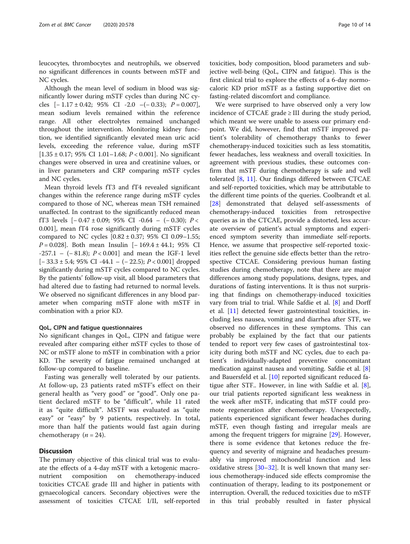leucocytes, thrombocytes and neutrophils, we observed no significant differences in counts between mSTF and NC cycles.

Although the mean level of sodium in blood was significantly lower during mSTF cycles than during NC cycles  $[-1.17 \pm 0.42; 95\% \text{ CI} -2.0 -(-0.33); P = 0.007]$ , mean sodium levels remained within the reference range. All other electrolytes remained unchanged throughout the intervention. Monitoring kidney function, we identified significantly elevated mean uric acid levels, exceeding the reference value, during mSTF  $[1.35 \pm 0.17; 95\% \text{ CI } 1.01 - 1.68; P < 0.001]$ . No significant changes were observed in urea and creatinine values, or in liver parameters and CRP comparing mSTF cycles and NC cycles.

Mean thyroid levels fT3 and fT4 revealed significant changes within the reference range during mSTF cycles compared to those of NC, whereas mean TSH remained unaffected. In contrast to the significantly reduced mean fT3 levels  $[-0.47 \pm 0.09; 95\% \text{ CI } -0.64 - (-0.30); P <$ 0.001], mean fT4 rose significantly during mSTF cycles compared to NC cycles  $[0.82 \pm 0.37; 95\% \text{ CI } 0.09-1.55;$ P = 0.028]. Both mean Insulin [-169.4 ± 44.1; 95% CI -257.1 – (− 81.8); P < 0.001] and mean the IGF-1 level [− 33.3 ± 5.4; 95% CI -44.1 – (− 22.5); P < 0.001] dropped significantly during mSTF cycles compared to NC cycles. By the patients' follow-up visit, all blood parameters that had altered due to fasting had returned to normal levels. We observed no significant differences in any blood parameter when comparing mSTF alone with mSTF in combination with a prior KD.

#### QoL, CIPN and fatigue questionnaires

No significant changes in QoL, CIPN and fatigue were revealed after comparing either mSTF cycles to those of NC or mSTF alone to mSTF in combination with a prior KD. The severity of fatigue remained unchanged at follow-up compared to baseline.

Fasting was generally well tolerated by our patients. At follow-up, 23 patients rated mSTF's effect on their general health as "very good" or "good". Only one patient declared mSTF to be "difficult", while 11 rated it as "quite difficult". MSTF was evaluated as "quite easy" or "easy" by 9 patients, respectively. In total, more than half the patients would fast again during chemotherapy  $(n = 24)$ .

# **Discussion**

The primary objective of this clinical trial was to evaluate the effects of a 4-day mSTF with a ketogenic macronutrient composition on chemotherapy-induced toxicities CTCAE grade III and higher in patients with gynaecological cancers. Secondary objectives were the assessment of toxicities CTCAE I/II, self-reported

toxicities, body composition, blood parameters and subjective well-being (QoL, CIPN and fatigue). This is the first clinical trial to explore the effects of a 6-day normocaloric KD prior mSTF as a fasting supportive diet on fasting-related discomfort and compliance.

We were surprised to have observed only a very low incidence of CTCAE grade  $\geq$  III during the study period, which meant we were unable to assess our primary endpoint. We did, however, find that mSTF improved patient's tolerability of chemotherapy thanks to fewer chemotherapy-induced toxicities such as less stomatitis, fewer headaches, less weakness and overall toxicities. In agreement with previous studies, these outcomes confirm that mSTF during chemotherapy is safe and well tolerated [[8,](#page-12-0) [11](#page-12-0)]. Our findings differed between CTCAE and self-reported toxicities, which may be attributable to the different time points of the queries. Coolbrandt et al. [[28\]](#page-12-0) demonstrated that delayed self-assessments of chemotherapy-induced toxicities from retrospective queries as in the CTCAE, provide a distorted, less accurate overview of patient's actual symptoms and experienced symptom severity than immediate self-reports. Hence, we assume that prospective self-reported toxicities reflect the genuine side effects better than the retrospective CTCAE. Considering previous human fasting studies during chemotherapy, note that there are major differences among study populations, designs, types, and durations of fasting interventions. It is thus not surprising that findings on chemotherapy-induced toxicities vary from trial to trial. While Safdie et al. [\[8](#page-12-0)] and Dorff et al. [[11\]](#page-12-0) detected fewer gastrointestinal toxicities, including less nausea, vomiting and diarrhea after STF, we observed no differences in these symptoms. This can probably be explained by the fact that our patients tended to report very few cases of gastrointestinal toxicity during both mSTF and NC cycles, due to each patient's individually-adapted preventive concomitant medication against nausea and vomiting. Safdie et al. [\[8](#page-12-0)] and Bauersfeld et al. [[10\]](#page-12-0) reported significant reduced fatigue after STF.. However, in line with Safdie et al. [\[8](#page-12-0)], our trial patients reported significant less weakness in the week after mSTF, indicating that mSTF could promote regeneration after chemotherapy. Unexpectedly, patients experienced significant fewer headaches during mSTF, even though fasting and irregular meals are among the frequent triggers for migraine [\[29](#page-12-0)]. However, there is some evidence that ketones reduce the frequency and severity of migraine and headaches presumably via improved mitochondrial function and less oxidative stress [[30](#page-12-0)–[32](#page-13-0)]. It is well known that many serious chemotherapy-induced side effects compromise the continuation of therapy, leading to its postponement or interruption. Overall, the reduced toxicities due to mSTF in this trial probably resulted in faster physical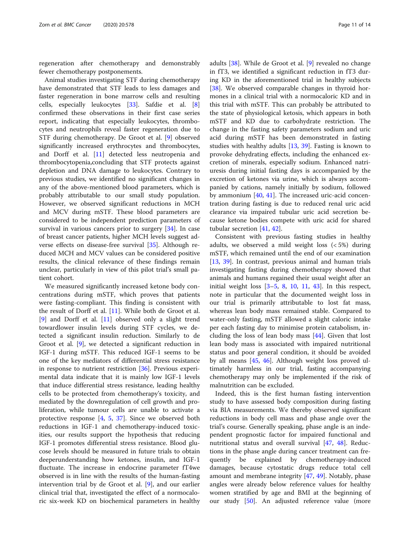regeneration after chemotherapy and demonstrably fewer chemotherapy postponements.

Animal studies investigating STF during chemotherapy have demonstrated that STF leads to less damages and faster regeneration in bone marrow cells and resulting cells, especially leukocytes [\[33](#page-13-0)]. Safdie et al. [\[8](#page-12-0)] confirmed these observations in their first case series report, indicating that especially leukocytes, thrombocytes and neutrophils reveal faster regeneration due to STF during chemotherapy. De Groot et al. [\[9](#page-12-0)] observed significantly increased erythrocytes and thrombocytes, and Dorff et al. [[11\]](#page-12-0) detected less neutropenia and thrombocytopenia,concluding that STF protects against depletion and DNA damage to leukocytes. Contrary to previous studies, we identified no significant changes in any of the above-mentioned blood parameters, which is probably attributable to our small study population. However, we observed significant reductions in MCH and MCV during mSTF. These blood parameters are considered to be independent prediction parameters of survival in various cancers prior to surgery [[34](#page-13-0)]. In case of breast cancer patients, higher MCH levels suggest adverse effects on disease-free survival [[35\]](#page-13-0). Although reduced MCH and MCV values can be considered positive results, the clinical relevance of these findings remain unclear, particularly in view of this pilot trial's small patient cohort.

We measured significantly increased ketone body concentrations during mSTF, which proves that patients were fasting-compliant. This finding is consistent with the result of Dorff et al. [[11](#page-12-0)]. While both de Groot et al. [[9\]](#page-12-0) and Dorff et al. [[11\]](#page-12-0) observed only a slight trend towardlower insulin levels during STF cycles, we detected a significant insulin reduction. Similarly to de Groot et al. [\[9](#page-12-0)], we detected a significant reduction in IGF-1 during mSTF. This reduced IGF-1 seems to be one of the key mediators of differential stress resistance in response to nutrient restriction [[36\]](#page-13-0). Previous experimental data indicate that it is mainly low IGF-1 levels that induce differential stress resistance, leading healthy cells to be protected from chemotherapy's toxicity, and mediated by the downregulation of cell growth and proliferation, while tumour cells are unable to activate a protective response [[4](#page-12-0), [5](#page-12-0), [37\]](#page-13-0). Since we observed both reductions in IGF-1 and chemotherapy-induced toxicities, our results support the hypothesis that reducing IGF-1 promotes differential stress resistance. Blood glucose levels should be measured in future trials to obtain deeperunderstanding how ketones, insulin, and IGF-1 fluctuate. The increase in endocrine parameter fT4we observed is in line with the results of the human-fasting intervention trial by de Groot et al. [[9\]](#page-12-0), and our earlier clinical trial that, investigated the effect of a normocaloric six-week KD on biochemical parameters in healthy adults [[38](#page-13-0)]. While de Groot et al. [\[9](#page-12-0)] revealed no change in fT3, we identified a significant reduction in fT3 during KD in the aforementioned trial in healthy subjects [[38\]](#page-13-0). We observed comparable changes in thyroid hormones in a clinical trial with a normocaloric KD and in this trial with mSTF. This can probably be attributed to the state of physiological ketosis, which appears in both mSTF and KD due to carbohydrate restriction. The change in the fasting safety parameters sodium and uric acid during mSTF has been demonstrated in fasting studies with healthy adults [\[13](#page-12-0), [39\]](#page-13-0). Fasting is known to provoke dehydrating effects, including the enhanced excretion of minerals, especially sodium. Enhanced natriuresis during initial fasting days is accompanied by the excretion of ketones via urine, which is always accompanied by cations, namely initially by sodium, followed by ammonium [\[40](#page-13-0), [41\]](#page-13-0). The increased uric-acid concentration during fasting is due to reduced renal uric acid clearance via impaired tubular uric acid secretion because ketone bodies compete with uric acid for shared tubular secretion [\[41](#page-13-0), [42\]](#page-13-0).

Consistent with previous fasting studies in healthy adults, we observed a mild weight loss (< 5%) during mSTF, which remained until the end of our examination [[13,](#page-12-0) [39\]](#page-13-0). In contrast, previous animal and human trials investigating fasting during chemotherapy showed that animals and humans regained their usual weight after an initial weight loss  $[3-5, 8, 10, 11, 43]$  $[3-5, 8, 10, 11, 43]$  $[3-5, 8, 10, 11, 43]$  $[3-5, 8, 10, 11, 43]$  $[3-5, 8, 10, 11, 43]$  $[3-5, 8, 10, 11, 43]$  $[3-5, 8, 10, 11, 43]$  $[3-5, 8, 10, 11, 43]$  $[3-5, 8, 10, 11, 43]$  $[3-5, 8, 10, 11, 43]$  $[3-5, 8, 10, 11, 43]$ . In this respect, note in particular that the documented weight loss in our trial is primarily attributable to lost fat mass, whereas lean body mass remained stable. Compared to water-only fasting, mSTF allowed a slight caloric intake per each fasting day to minimise protein catabolism, including the loss of lean body mass [\[44](#page-13-0)]. Given that lost lean body mass is associated with impaired nutritional status and poor general condition, it should be avoided by all means [[45,](#page-13-0) [46\]](#page-13-0). Although weight loss proved ultimately harmless in our trial, fasting accompanying chemotherapy may only be implemented if the risk of malnutrition can be excluded.

Indeed, this is the first human fasting intervention study to have assessed body composition during fasting via BIA measurements. We thereby observed significant reductions in body cell mass and phase angle over the trial's course. Generally speaking, phase angle is an independent prognostic factor for impaired functional and nutritional status and overall survival [[47,](#page-13-0) [48](#page-13-0)]. Reductions in the phase angle during cancer treatment can frequently be explained by chemotherapy-induced damages, because cytostatic drugs reduce total cell amount and membrane integrity [[47,](#page-13-0) [49\]](#page-13-0). Notably, phase angles were already below reference values for healthy women stratified by age and BMI at the beginning of our study [\[50\]](#page-13-0). An adjusted reference value (more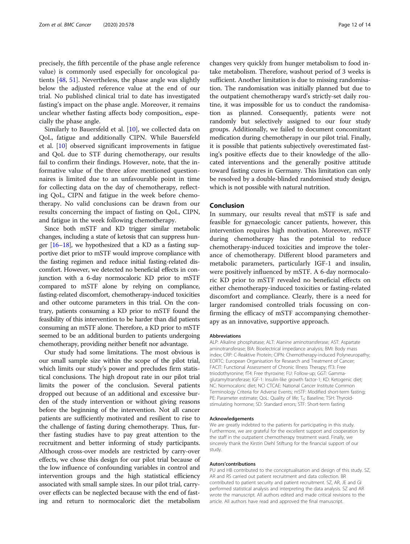precisely, the fifth percentile of the phase angle reference value) is commonly used especially for oncological patients [[48](#page-13-0), [51\]](#page-13-0). Nevertheless, the phase angle was slightly below the adjusted reference value at the end of our trial. No published clinical trial to date has investigated fasting's impact on the phase angle. Moreover, it remains unclear whether fasting affects body composition,, especially the phase angle.

Similarly to Bauersfeld et al. [\[10](#page-12-0)], we collected data on QoL, fatigue and additionally CIPN. While Bauersfeld et al. [[10\]](#page-12-0) observed significant improvements in fatigue and QoL due to STF during chemotherapy, our results fail to confirm their findings. However, note, that the informative value of the three afore mentioned questionnaires is limited due to an unfavourable point in time for collecting data on the day of chemotherapy, reflecting QoL, CIPN and fatigue in the week before chemotherapy. No valid conclusions can be drawn from our results concerning the impact of fasting on QoL, CIPN, and fatigue in the week following chemotherapy.

Since both mSTF and KD trigger similar metabolic changes, including a state of ketosis that can suppress hunger  $[16-18]$  $[16-18]$  $[16-18]$  $[16-18]$ , we hypothesized that a KD as a fasting supportive diet prior to mSTF would improve compliance with the fasting regimen and reduce initial fasting-related discomfort. However, we detected no beneficial effects in conjunction with a 6-day normocaloric KD prior to mSTF compared to mSTF alone by relying on compliance, fasting-related discomfort, chemotherapy-induced toxicities and other outcome parameters in this trial. On the contrary, patients consuming a KD prior to mSTF found the feasibility of this intervention to be harder than did patients consuming an mSTF alone. Therefore, a KD prior to mSTF seemed to be an additional burden to patients undergoing chemotherapy, providing neither benefit nor advantage.

Our study had some limitations. The most obvious is our small sample size within the scope of the pilot trial, which limits our study's power and precludes firm statistical conclusions. The high dropout rate in our pilot trial limits the power of the conclusion. Several patients dropped out because of an additional and excessive burden of the study intervention or without giving reasons before the beginning of the intervention. Not all cancer patients are sufficiently motivated and resilient to rise to the challenge of fasting during chemotherapy. Thus, further fasting studies have to pay great attention to the recruitment and better informing of study participants. Although cross-over models are restricted by carry-over effects, we chose this design for our pilot trial because of the low influence of confounding variables in control and intervention groups and the high statistical efficiency associated with small sample sizes. In our pilot trial, carryover effects can be neglected because with the end of fasting and return to normocaloric diet the metabolism

changes very quickly from hunger metabolism to food intake metabolism. Therefore, washout period of 3 weeks is sufficient. Another limitation is due to missing randomisation. The randomisation was initially planned but due to the outpatient chemotherapy ward's strictly-set daily routine, it was impossible for us to conduct the randomisation as planned. Consequently, patients were not randomly but selectively assigned to our four study groups. Additionally, we failed to document concomitant medication during chemotherapy in our pilot trial. Finally, it is possible that patients subjectively overestimated fasting's positive effects due to their knowledge of the allocated interventions and the generally positive attitude toward fasting cures in Germany. This limitation can only be resolved by a double-blinded randomised study design, which is not possible with natural nutrition.

# Conclusion

In summary, our results reveal that mSTF is safe and feasible for gynaecologic cancer patients, however, this intervention requires high motivation. Moreover, mSTF during chemotherapy has the potential to reduce chemotherapy-induced toxicities and improve the tolerance of chemotherapy. Different blood parameters and metabolic parameters, particularly IGF-1 and insulin, were positively influenced by mSTF. A 6-day normocaloric KD prior to mSTF revealed no beneficial effects on either chemotherapy-induced toxicities or fasting-related discomfort and compliance. Clearly, there is a need for larger randomised controlled trials focussing on confirming the efficacy of mSTF accompanying chemotherapy as an innovative, supportive approach.

#### Abbreviations

ALP: Alkaline phosphatase; ALT: Alanine aminotransferase; AST: Aspartate aminotransferase; BIA: Bioelectrical impedance analysis; BMI: Body mass index; CRP: C-Reaktive Protein; CIPN: Chemotherapy-induced Polyneuropathy; EORTC: European Organisation for Research and Treatment of Cancer; FACIT: Functional Assessment of Chronic Illness Therapy; fT3: Free triiodothyronine; fT4: Free thyroxine; FU: Follow-up; GGT: Gammaglutamyltransferase; IGF-1: Insulin-like growth factor-1; KD: Ketogenic diet; NC: Normocaloric diet; NCI CTCAE: National Cancer Institute Common Terminology Criteria for Adverse Events; mSTF: Modified short-term fasting; PE: Parameter estimate; QoL: Quality of life; T<sub>0</sub>: Baseline; TSH: Thyroidstimulating hormone; SD: Standard errors; STF: Short-term fasting

#### Acknowledgements

We are greatly indebted to the patients for participating in this study. Furthermore, we are grateful for the excellent support and cooperation by the staff in the outpatient chemotherapy treatment ward. Finally, we sincerely thank the Kirstin Diehl Stiftung for the financial support of our study.

#### Autors'contributions

PU and HB contributed to the conceptualisation and design of this study. SZ, AR and RS carried out patient recruitment and data collection. BR contributed to patient security and patient recruitment. SZ, AR, JE and GI performed statistical analysis and interpreting the data analysis. SZ and AR wrote the manuscript. All authors edited and made critical revisions to the article. All authors have read and approved the final manuscript.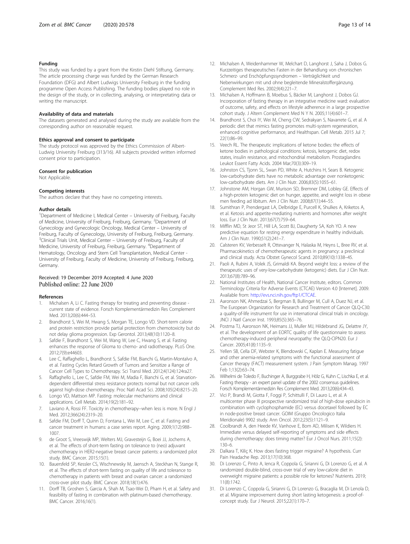### <span id="page-12-0"></span>Funding

This study was funded by a grant from the Kirstin Diehl Stiftung, Germany. The article processing charge was funded by the German Research Foundation (DFG) and Albert Ludwigs University Freiburg in the funding programme Open Access Publishing. The funding bodies played no role in the design of the study, or in collecting, analysing, or interpretating data or writing the manuscript.

#### Availability of data and materials

The datasets generated and analysed during the study are available from the corresponding author on reasonable request.

#### Ethics approval and consent to participate

The study protocol was approved by the Ethics Commission of Albert-Ludwig University Freiburg (313/16). All subjects provided written informed consent prior to participation.

#### Consent for publication

Not Applicable.

#### Competing interests

The authors declare that they have no competing interests.

#### Author details

<sup>1</sup>Department of Medicine I, Medical Center - University of Freiburg, Faculty of Medicine, University of Freiburg, Freiburg, Germany. <sup>2</sup>Department of Gynecology and Gynecologic Oncology, Medical Center – University of Freiburg, Faculty of Gynecology, University of Freiburg, Freiburg, Germany. <sup>3</sup>Clinical Trials Unit, Medical Center - University of Freiburg, Faculty of Medicine, University of Freiburg, Freiburg, Germany. <sup>4</sup>Department of Hematology, Oncology and Stem Cell Transplantation, Medical Center - University of Freiburg, Faculty of Medicine, University of Freiburg, Freiburg, Germany.

### Received: 19 December 2019 Accepted: 4 June 2020 Published online: 22 June 2020

#### References

- Michalsen A, Li C. Fasting therapy for treating and preventing disease current state of evidence. Forsch Komplementärmedizin Res Complement Med. 2013;20(6):444–53.
- 2. Brandhorst S, Wei M, Hwang S, Morgan TE, Longo VD. Short-term calorie and protein restriction provide partial protection from chemotoxicity but do not delay glioma progression. Exp Gerontol. 2013;48(10):1120–8.
- Safdie F, Brandhorst S, Wei M, Wang W, Lee C, Hwang S, et al. Fasting enhances the response of Glioma to chemo- and radiotherapy. PLoS One. 2012;7(9):e44603.
- 4. Lee C, Raffaghello L, Brandhorst S, Safdie FM, Bianchi G, Martin-Montalvo A, et al. Fasting Cycles Retard Growth of Tumors and Sensitize a Range of Cancer Cell Types to Chemotherapy. Sci Transl Med. 2012;4(124):124ra27.
- 5. Raffaghello L, Lee C, Safdie FM, Wei M, Madia F, Bianchi G, et al. Starvationdependent differential stress resistance protects normal but not cancer cells against high-dose chemotherapy. Proc Natl Acad Sci. 2008;105(24):8215–20.
- 6. Longo VD, Mattson MP. Fasting: molecular mechanisms and clinical applications. Cell Metab. 2014;19(2):181–92.
- 7. Laviano A, Rossi FF. Toxicity in chemotherapy--when less is more. N Engl J Med. 2012;366(24):2319–20.
- Safdie FM, Dorff T, Quinn D, Fontana L, Wei M, Lee C, et al. Fasting and cancer treatment in humans: a case series report. Aging. 2009;1(12):988– 1007.
- 9. de Groot S, Vreeswijk MP, Welters MJ, Gravesteijn G, Boei JJ, Jochems A, et al. The effects of short-term fasting on tolerance to (neo) adjuvant chemotherapy in HER2-negative breast cancer patients: a randomized pilot study. BMC Cancer. 2015;15(1).
- 10. Bauersfeld SP, Kessler CS, Wischnewsky M, Jaensch A, Steckhan N, Stange R, et al. The effects of short-term fasting on quality of life and tolerance to chemotherapy in patients with breast and ovarian cancer: a randomized cross-over pilot study. BMC Cancer. 2018;18(1):476.
- 11. Dorff TB, Groshen S, Garcia A, Shah M, Tsao-Wei D, Pham H, et al. Safety and feasibility of fasting in combination with platinum-based chemotherapy. BMC Cancer. 2016;16(1).
- 12. Michalsen A, Weidenhammer W, Melchart D, Langhorst J, Saha J, Dobos G. Kurzzeitiges therapeutisches Fasten in der Behandlung von chronischen Schmerz- und Erschöpfungssyndromen – Verträglichkeit und Nebenwirkungen mit und ohne begleitende Mineralstoffergänzung. Complement Med Res. 2002;9(4):221–7.
- 13. Michalsen A, Hoffmann B, Moebus S, Bäcker M, Langhorst J, Dobos GJ. Incorporation of fasting therapy in an integrative medicine ward: evaluation of outcome, safety, and effects on lifestyle adherence in a large prospective cohort study. J Altern Complement Med N Y N. 2005;11(4):601–7.
- 14. Brandhorst S, Choi IY, Wei M, Cheng CW, Sedrakyan S, Navarrete G, et al. A periodic diet that mimics fasting promotes multi-system regeneration, enhanced cognitive performance, and Healthspan. Cell Metab. 2015 Jul 7; 22(1):86–99.
- 15. Veech RL. The therapeutic implications of ketone bodies: the effects of ketone bodies in pathological conditions: ketosis, ketogenic diet, redox states, insulin resistance, and mitochondrial metabolism. Prostaglandins Leukot Essent Fatty Acids. 2004 Mar;70(3):309–19.
- 16. Johnston CS, Tjonn SL, Swan PD, White A, Hutchins H, Sears B. Ketogenic low-carbohydrate diets have no metabolic advantage over nonketogenic low-carbohydrate diets. Am J Clin Nutr. 2006;83(5):1055–61.
- 17. Johnstone AM, Horgan GW, Murison SD, Bremner DM, Lobley GE. Effects of a high-protein ketogenic diet on hunger, appetite, and weight loss in obese men feeding ad libitum. Am J Clin Nutr. 2008;87(1):44–55.
- 18. Sumithran P, Prendergast LA, Delbridge E, Purcell K, Shulkes A, Kriketos A, et al. Ketosis and appetite-mediating nutrients and hormones after weight loss. Eur J Clin Nutr. 2013;67(7):759–64.
- 19. Mifflin MD, St Jeor ST, Hill LA, Scott BJ, Daugherty SA, Koh YO. A new predictive equation for resting energy expenditure in healthy individuals. Am J Clin Nutr. 1990;51(2):241–7.
- 20. Calsteren KV, Verbesselt R, Ottevanger N, Halaska M, Heyns L, Bree RV, et al. Pharmacokinetics of chemotherapeutic agents in pregnancy: a preclinical and clinical study. Acta Obstet Gynecol Scand. 2010;89(10):1338–45.
- 21. Paoli A, Rubini A, Volek JS, Grimaldi KA. Beyond weight loss: a review of the therapeutic uses of very-low-carbohydrate (ketogenic) diets. Eur J Clin Nutr. 2013;67(8):789–96.
- 22. National Institutes of Health, National Cancer Institute, editors. Common Terminology Criteria for Adverse Events (CTCAE) Version 4.0 [Internet]. 2009. Available from: <http://evs.nci.nih.gov/ftp1/CTCAE>.
- 23. Aaronson NK, Ahmedzai S, Bergman B, Bullinger M, Cull A, Duez NJ, et al. The European Organization for Research and Treatment of Cancer QLQ-C30: a quality-of-life instrument for use in international clinical trials in oncology. JNCI J Natl Cancer Inst. 1993;85(5):365–76.
- 24. Postma TJ, Aaronson NK, Heimans JJ, Muller MJ, Hildebrand JG, Delattre JY, et al. The development of an EORTC quality of life questionnaire to assess chemotherapy-induced peripheral neuropathy: the QLQ-CIPN20. Eur J Cancer. 2005;41(8):1135–9.
- 25. Yellen SB, Cella DF, Webster K, Blendowski C, Kaplan E. Measuring fatigue and other anemia-related symptoms with the functional assessment of Cancer therapy (FACT) measurement system. J Pain Symptom Manag. 1997 Feb 1;13(2):63–74.
- 26. Wilhelmi de Toledo F, Buchinger A, Burggrabe H, Hölz G, Kuhn C, Lischka E, et al. Fasting therapy - an expert panel update of the 2002 consensus guidelines. Forsch Komplementärmedizin Res Complement Med. 2013;20(6):434–43.
- 27. Vici P, Brandi M, Giotta F, Foggi P, Schittulli F, Di Lauro L, et al. A multicenter phase III prospective randomized trial of high-dose epirubicin in combination with cyclophosphamide (EC) versus docetaxel followed by EC in node-positive breast cancer. GOIM (Gruppo Oncologico Italia Meridionale) 9902 study. Ann Oncol. 2012;23(5):1121–9.
- 28. Coolbrandt A, den Heede KV, Vanhove E, Bom AD, Milisen K, Wildiers H. Immediate versus delayed self-reporting of symptoms and side effects during chemotherapy: does timing matter? Eur J Oncol Nurs. 2011;15(2): 130–6.
- 29. Dalkara T, Kiliç K. How does fasting trigger migraine? A hypothesis. Curr Pain Headache Rep. 2013;17(10):368.
- 30. Di Lorenzo C, Pinto A, Ienca R, Coppola G, Sirianni G, Di Lorenzo G, et al. A randomized double-blind, cross-over trial of very low-calorie diet in overweight migraine patients: a possible role for ketones? Nutrients. 2019; 11(8):1742.
- 31. Di Lorenzo C, Coppola G, Sirianni G, Di Lorenzo G, Bracaglia M, Di Lenola D, et al. Migraine improvement during short lasting ketogenesis: a proof-ofconcept study. Eur J Neurol. 2015;22(1):170–7.